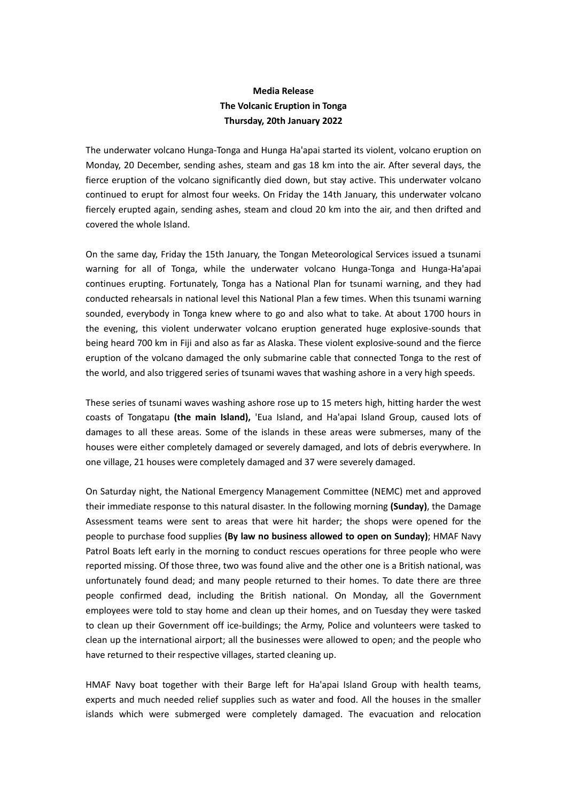## **Media Release The Volcanic Eruption in Tonga Thursday, 20th January 2022**

The underwater volcano Hunga-Tonga and Hunga Ha'apai started its violent, volcano eruption on Monday, 20 December, sending ashes, steam and gas 18 km into the air. After several days, the fierce eruption of the volcano significantly died down, but stay active. This underwater volcano continued to erupt for almost four weeks. On Friday the 14th January, this underwater volcano fiercely erupted again, sending ashes, steam and cloud 20 km into the air, and then drifted and covered the whole Island.

On the same day, Friday the 15th January, the Tongan Meteorological Services issued a tsunami warning for all of Tonga, while the underwater volcano Hunga-Tonga and Hunga-Ha'apai continues erupting. Fortunately, Tonga has a National Plan for tsunami warning, and they had conducted rehearsals in national level this National Plan a few times. When this tsunami warning sounded, everybody in Tonga knew where to go and also what to take. At about 1700 hours in the evening, this violent underwater volcano eruption generated huge explosive-sounds that being heard 700 km in Fiji and also as far as Alaska. These violent explosive-sound and the fierce eruption of the volcano damaged the only submarine cable that connected Tonga to the rest of the world, and also triggered series of tsunami waves that washing ashore in a very high speeds.

These series of tsunami waves washing ashore rose up to 15 meters high, hitting harder the west coasts of Tongatapu **(the main Island),** 'Eua Island, and Ha'apai Island Group, caused lots of damages to all these areas. Some of the islands in these areas were submerses, many of the houses were either completely damaged or severely damaged, and lots of debris everywhere. In one village, 21 houses were completely damaged and 37 were severely damaged.

On Saturday night, the National Emergency Management Committee (NEMC) met and approved their immediate response to this natural disaster. In the following morning **(Sunday)**, the Damage Assessment teams were sent to areas that were hit harder; the shops were opened for the people to purchase food supplies **(By law no business allowed to open on Sunday)**; HMAF Navy Patrol Boats left early in the morning to conduct rescues operations for three people who were reported missing. Of those three, two was found alive and the other one is a British national, was unfortunately found dead; and many people returned to their homes. To date there are three people confirmed dead, including the British national. On Monday, all the Government employees were told to stay home and clean up their homes, and on Tuesday they were tasked to clean up their Government off ice-buildings; the Army, Police and volunteers were tasked to clean up the international airport; all the businesses were allowed to open; and the people who have returned to their respective villages, started cleaning up.

HMAF Navy boat together with their Barge left for Ha'apai Island Group with health teams, experts and much needed relief supplies such as water and food. All the houses in the smaller islands which were submerged were completely damaged. The evacuation and relocation